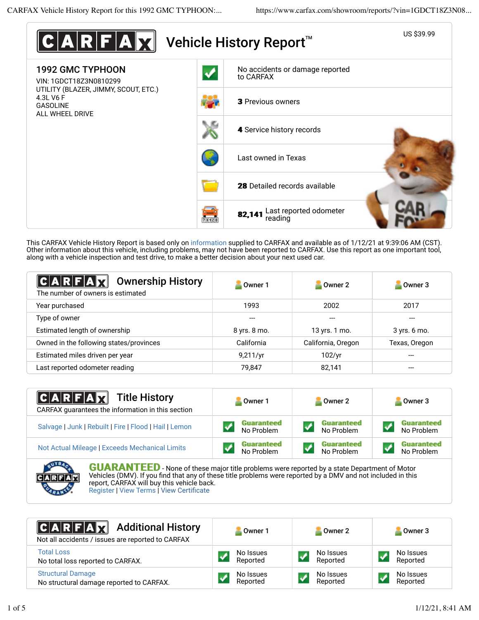

This CARFAX Vehicle History Report is based only on information supplied to CARFAX and available as of 1/12/21 at 9:39:06 AM (CST). Other information about this vehicle, including problems, may not have been reported to CARFAX. Use this report as one important tool, along with a vehicle inspection and test drive, to make a better decision about your next used car.

| $ C A R F A \vec{\chi}  $<br><b>Ownership History</b><br>The number of owners is estimated | Owner 1      | Owner 2            | Owner 3       |
|--------------------------------------------------------------------------------------------|--------------|--------------------|---------------|
| Year purchased                                                                             | 1993         | 2002               | 2017          |
| Type of owner                                                                              |              |                    | ---           |
| Estimated length of ownership                                                              | 8 yrs. 8 mo. | 13 yrs. 1 mo.      | 3 yrs. 6 mo.  |
| Owned in the following states/provinces                                                    | California   | California, Oregon | Texas, Oregon |
| Estimated miles driven per year                                                            | 9,211/yr     | 102/yr             |               |
| Last reported odometer reading                                                             | 79.847       | 82,141             |               |

| <b>CARFAX</b> Title History<br>CARFAX guarantees the information in this section | Owner 1           | Owner 2           | Owner 3           |
|----------------------------------------------------------------------------------|-------------------|-------------------|-------------------|
| Salvage   Junk   Rebuilt   Fire   Flood   Hail   Lemon                           | <b>Guaranteed</b> | <b>Guaranteed</b> | <b>Guaranteed</b> |
|                                                                                  | No Problem        | No Problem        | No Problem        |
| Not Actual Mileage   Exceeds Mechanical Limits                                   | <b>Guaranteed</b> | <b>Guaranteed</b> | <b>Guaranteed</b> |
|                                                                                  | No Problem        | No Problem        | No Problem        |
| <b>AVEA</b><br><i><b>AULA DA NITEED</b></i>                                      |                   |                   |                   |

**GUARANTEED** - None of these major title problems were reported by a state Department of Motor Vehicles (DMV). If you find that any of these title problems were reported by a DMV and not included in this report, CARFAX will buy this vehicle back. Register | View Terms | View Certificate

| <b>CARFAX</b> Additional History<br>Not all accidents / issues are reported to CARFAX | Owner 1               | Owner 2               | Owner 3               |
|---------------------------------------------------------------------------------------|-----------------------|-----------------------|-----------------------|
| <b>Total Loss</b><br>No total loss reported to CARFAX.                                | No Issues<br>Reported | No Issues<br>Reported | No Issues<br>Reported |
| <b>Structural Damage</b><br>No structural damage reported to CARFAX.                  | No Issues<br>Reported | No Issues<br>Reported | No Issues<br>Reported |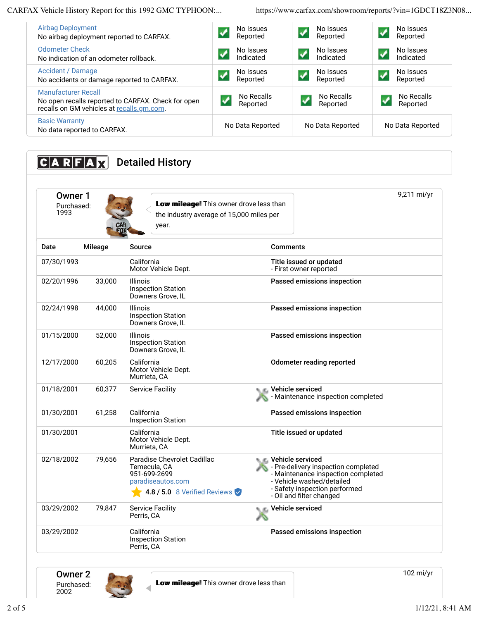CARFAX Vehicle History Report for this 1992 GMC TYPHOON:... https://www.carfax.com/showroom/reports/?vin=1GDCT18Z3N08...

| <b>Airbag Deployment</b><br>No airbag deployment reported to CARFAX.                                                          | No Issues<br>Reported  | No Issues<br>Reported  | No Issues<br>$\sqrt{}$<br>Reported  |
|-------------------------------------------------------------------------------------------------------------------------------|------------------------|------------------------|-------------------------------------|
| Odometer Check<br>No indication of an odometer rollback.                                                                      | No Issues<br>Indicated | No Issues<br>Indicated | No Issues<br>$\sqrt{}$<br>Indicated |
| Accident / Damage<br>No accidents or damage reported to CARFAX.                                                               | No Issues<br>Reported  | No Issues<br>Reported  | No Issues<br>$\sqrt{}$<br>Reported  |
| <b>Manufacturer Recall</b><br>No open recalls reported to CARFAX. Check for open<br>recalls on GM vehicles at recalls.gm.com. | No Recalls<br>Reported | No Recalls<br>Reported | No Recalls<br>Reported              |
| <b>Basic Warranty</b><br>No data reported to CARFAX.                                                                          | No Data Reported       | No Data Reported       | No Data Reported                    |

| $C A R F A \chi $             |                | <b>Detailed History</b>                                                                                          |                                                                                                                                                                                         |
|-------------------------------|----------------|------------------------------------------------------------------------------------------------------------------|-----------------------------------------------------------------------------------------------------------------------------------------------------------------------------------------|
| Owner 1<br>Purchased:<br>1993 |                | Low mileage! This owner drove less than<br>the industry average of 15,000 miles per<br>year.                     | 9,211 mi/yr                                                                                                                                                                             |
| Date                          | <b>Mileage</b> | <b>Source</b>                                                                                                    | <b>Comments</b>                                                                                                                                                                         |
| 07/30/1993                    |                | California<br>Motor Vehicle Dept.                                                                                | Title issued or updated<br>- First owner reported                                                                                                                                       |
| 02/20/1996                    | 33,000         | <b>Illinois</b><br><b>Inspection Station</b><br>Downers Grove, IL                                                | Passed emissions inspection                                                                                                                                                             |
| 02/24/1998                    | 44,000         | Illinois<br><b>Inspection Station</b><br>Downers Grove, IL                                                       | Passed emissions inspection                                                                                                                                                             |
| 01/15/2000                    | 52,000         | Illinois<br><b>Inspection Station</b><br>Downers Grove, IL                                                       | Passed emissions inspection                                                                                                                                                             |
| 12/17/2000                    | 60,205         | California<br>Motor Vehicle Dept.<br>Murrieta, CA                                                                | <b>Odometer reading reported</b>                                                                                                                                                        |
| 01/18/2001                    | 60,377         | <b>Service Facility</b>                                                                                          | Vehicle serviced<br>Maintenance inspection completed                                                                                                                                    |
| 01/30/2001                    | 61,258         | California<br><b>Inspection Station</b>                                                                          | Passed emissions inspection                                                                                                                                                             |
| 01/30/2001                    |                | California<br>Motor Vehicle Dept.<br>Murrieta, CA                                                                | Title issued or updated                                                                                                                                                                 |
| 02/18/2002                    | 79,656         | Paradise Chevrolet Cadillac<br>Temecula, CA<br>951-699-2699<br>paradiseautos.com<br>4.8 / 5.0 8 Verified Reviews | Vehicle serviced<br>- Pre-delivery inspection completed<br>- Maintenance inspection completed<br>- Vehicle washed/detailed<br>- Safety inspection performed<br>- Oil and filter changed |
| 03/29/2002                    | 79,847         | <b>Service Facility</b><br>Perris, CA                                                                            | <b>Vehicle serviced</b>                                                                                                                                                                 |
| 03/29/2002                    |                | California<br><b>Inspection Station</b><br>Perris, CA                                                            | Passed emissions inspection                                                                                                                                                             |

Owner 2 Purchased: 2002



102 mi/yr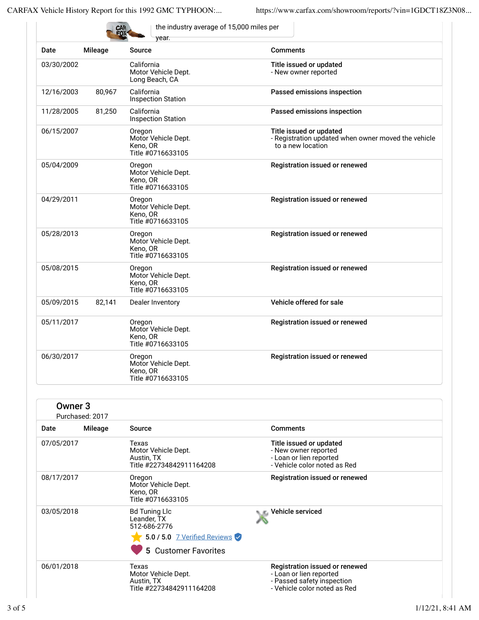|            | CAR            | the industry average of 15,000 miles per<br>vear.              |                                                                                                     |
|------------|----------------|----------------------------------------------------------------|-----------------------------------------------------------------------------------------------------|
| Date       | <b>Mileage</b> | <b>Source</b>                                                  | <b>Comments</b>                                                                                     |
| 03/30/2002 |                | California<br>Motor Vehicle Dept.<br>Long Beach, CA            | Title issued or updated<br>- New owner reported                                                     |
| 12/16/2003 | 80,967         | California<br><b>Inspection Station</b>                        | Passed emissions inspection                                                                         |
| 11/28/2005 | 81,250         | California<br><b>Inspection Station</b>                        | Passed emissions inspection                                                                         |
| 06/15/2007 |                | Oregon<br>Motor Vehicle Dept.<br>Keno, OR<br>Title #0716633105 | Title issued or updated<br>- Registration updated when owner moved the vehicle<br>to a new location |
| 05/04/2009 |                | Oregon<br>Motor Vehicle Dept.<br>Keno, OR<br>Title #0716633105 | Registration issued or renewed                                                                      |
| 04/29/2011 |                | Oregon<br>Motor Vehicle Dept.<br>Keno, OR<br>Title #0716633105 | Registration issued or renewed                                                                      |
| 05/28/2013 |                | Oregon<br>Motor Vehicle Dept.<br>Keno, OR<br>Title #0716633105 | Registration issued or renewed                                                                      |
| 05/08/2015 |                | Oregon<br>Motor Vehicle Dept.<br>Keno, OR<br>Title #0716633105 | Registration issued or renewed                                                                      |
| 05/09/2015 | 82,141         | Dealer Inventory                                               | Vehicle offered for sale                                                                            |
| 05/11/2017 |                | Oregon<br>Motor Vehicle Dept.<br>Keno, OR<br>Title #0716633105 | Registration issued or renewed                                                                      |
| 06/30/2017 |                | Oregon<br>Motor Vehicle Dept.<br>Keno, OR<br>Title #0716633105 | Registration issued or renewed                                                                      |

|            | Owner <sub>3</sub><br>Purchased: 2017 |                                                                                                             |                                                                                                                         |
|------------|---------------------------------------|-------------------------------------------------------------------------------------------------------------|-------------------------------------------------------------------------------------------------------------------------|
| Date       | Mileage                               | Source                                                                                                      | <b>Comments</b>                                                                                                         |
| 07/05/2017 |                                       | Texas<br>Motor Vehicle Dept.<br>Austin, TX<br>Title #22734842911164208                                      | Title issued or updated<br>- New owner reported<br>- Loan or lien reported<br>- Vehicle color noted as Red              |
| 08/17/2017 |                                       | Oregon<br>Motor Vehicle Dept.<br>Keno, OR<br>Title #0716633105                                              | Registration issued or renewed                                                                                          |
| 03/05/2018 |                                       | <b>Bd Tuning Llc</b><br>Leander, TX<br>512-686-2776<br>5.0 / 5.0 7 Verified Reviews<br>5 Customer Favorites | Vehicle serviced                                                                                                        |
| 06/01/2018 |                                       | Texas<br>Motor Vehicle Dept.<br>Austin, TX<br>Title #22734842911164208                                      | Registration issued or renewed<br>- Loan or lien reported<br>- Passed safety inspection<br>- Vehicle color noted as Red |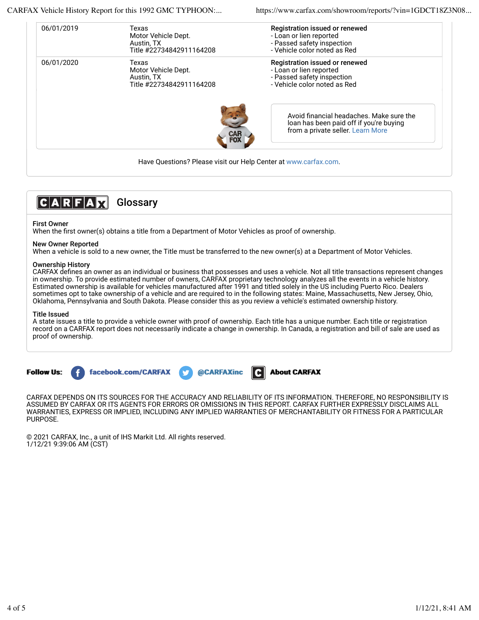CARFAX Vehicle History Report for this 1992 GMC TYPHOON:... https://www.carfax.com/showroom/reports/?vin=1GDCT18Z3N08...

| Texas                    | Registration issued or renewed                                                                                           |
|--------------------------|--------------------------------------------------------------------------------------------------------------------------|
| Motor Vehicle Dept.      | - Loan or lien reported                                                                                                  |
| Austin, TX               | - Passed safety inspection                                                                                               |
| Title #22734842911164208 | - Vehicle color noted as Red                                                                                             |
| Texas                    | Registration issued or renewed                                                                                           |
| Motor Vehicle Dept.      | - Loan or lien reported                                                                                                  |
| Austin, TX               | - Passed safety inspection                                                                                               |
| Title #22734842911164208 | - Vehicle color noted as Red                                                                                             |
|                          | Avoid financial headaches. Make sure the<br>loan has been paid off if you're buying<br>from a private seller. Learn More |
|                          |                                                                                                                          |



## First Owner

When the first owner(s) obtains a title from a Department of Motor Vehicles as proof of ownership.

### New Owner Reported

When a vehicle is sold to a new owner, the Title must be transferred to the new owner(s) at a Department of Motor Vehicles.

### Ownership History

CARFAX defines an owner as an individual or business that possesses and uses a vehicle. Not all title transactions represent changes in ownership. To provide estimated number of owners, CARFAX proprietary technology analyzes all the events in a vehicle history. Estimated ownership is available for vehicles manufactured after 1991 and titled solely in the US including Puerto Rico. Dealers sometimes opt to take ownership of a vehicle and are required to in the following states: Maine, Massachusetts, New Jersey, Ohio, Oklahoma, Pennsylvania and South Dakota. Please consider this as you review a vehicle's estimated ownership history.

### Title Issued

A state issues a title to provide a vehicle owner with proof of ownership. Each title has a unique number. Each title or registration record on a CARFAX report does not necessarily indicate a change in ownership. In Canada, a registration and bill of sale are used as proof of ownership.





CARFAX DEPENDS ON ITS SOURCES FOR THE ACCURACY AND RELIABILITY OF ITS INFORMATION. THEREFORE, NO RESPONSIBILITY IS ASSUMED BY CARFAX OR ITS AGENTS FOR ERRORS OR OMISSIONS IN THIS REPORT. CARFAX FURTHER EXPRESSLY DISCLAIMS ALL WARRANTIES, EXPRESS OR IMPLIED, INCLUDING ANY IMPLIED WARRANTIES OF MERCHANTABILITY OR FITNESS FOR A PARTICULAR PURPOSE.

© 2021 CARFAX, Inc., a unit of IHS Markit Ltd. All rights reserved. 1/12/21 9:39:06 AM (CST)